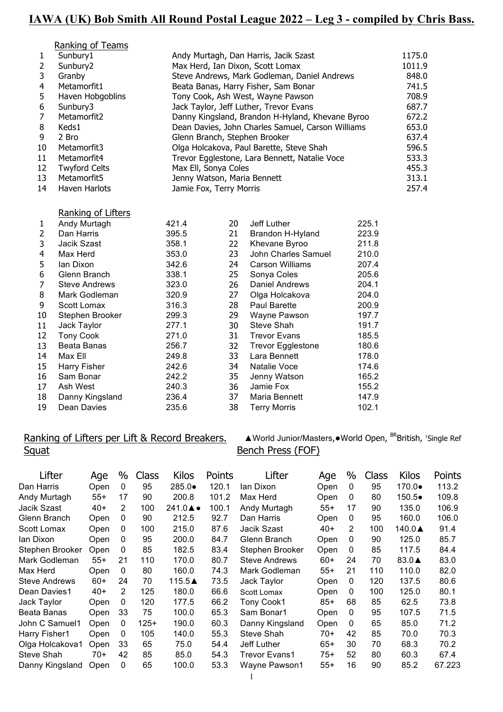# **IAWA (UK) Bob Smith All Round Postal League 2022 – Leg 3 - compiled by Chris Bass.**

| Ranking of Teams |  |
|------------------|--|
|                  |  |

|              | Sunbury1             | Andy Murtagh, Dan Harris, Jacik Szast             | 1175.0 |
|--------------|----------------------|---------------------------------------------------|--------|
| $\mathbf{2}$ | Sunbury2             | Max Herd, Ian Dixon, Scott Lomax                  | 1011.9 |
| 3            | Granby               | Steve Andrews, Mark Godleman, Daniel Andrews      | 848.0  |
| 4            | Metamorfit1          | Beata Banas, Harry Fisher, Sam Bonar              | 741.5  |
| 5            | Haven Hobgoblins     | Tony Cook, Ash West, Wayne Pawson                 | 708.9  |
| 6            | Sunbury3             | Jack Taylor, Jeff Luther, Trevor Evans            | 687.7  |
| 7            | Metamorfit2          | Danny Kingsland, Brandon H-Hyland, Khevane Byroo  | 672.2  |
| 8            | Keds1                | Dean Davies, John Charles Samuel, Carson Williams | 653.0  |
| 9            | 2 Bro                | Glenn Branch, Stephen Brooker                     | 637.4  |
| 10           | Metamorfit3          | Olga Holcakova, Paul Barette, Steve Shah          | 596.5  |
| 11           | Metamorfit4          | Trevor Egglestone, Lara Bennett, Natalie Voce     | 533.3  |
| 12           | <b>Twyford Celts</b> | Max Ell, Sonya Coles                              | 455.3  |
| 13           | Metamorfit5          | Jenny Watson, Maria Bennett                       | 313.1  |
| 14           | Haven Harlots        | Jamie Fox, Terry Morris                           | 257.4  |

#### Ranking of Lifters

| 1  | Andy Murtagh         | 421.4 | 20  | Jeff Luther              | 225.1 |
|----|----------------------|-------|-----|--------------------------|-------|
| 2  | Dan Harris           | 395.5 | 21  | Brandon H-Hyland         | 223.9 |
| 3  | Jacik Szast          | 358.1 | 22  | Khevane Byroo            | 211.8 |
| 4  | Max Herd             | 353.0 | 23  | John Charles Samuel      | 210.0 |
| 5  | lan Dixon            | 342.6 | 24  | <b>Carson Williams</b>   | 207.4 |
| 6  | Glenn Branch         | 338.1 | 25  | Sonya Coles              | 205.6 |
| 7  | <b>Steve Andrews</b> | 323.0 | 26  | Daniel Andrews           | 204.1 |
| 8  | Mark Godleman        | 320.9 | 27  | Olga Holcakova           | 204.0 |
| 9  | Scott Lomax          | 316.3 | 28  | Paul Barette             | 200.9 |
| 10 | Stephen Brooker      | 299.3 | 29. | Wayne Pawson             | 197.7 |
| 11 | Jack Taylor          | 277.1 | 30  | Steve Shah               | 191.7 |
| 12 | <b>Tony Cook</b>     | 271.0 | 31  | <b>Trevor Evans</b>      | 185.5 |
| 13 | Beata Banas          | 256.7 | 32  | <b>Trevor Egglestone</b> | 180.6 |
| 14 | Max Ell              | 249.8 | 33  | Lara Bennett             | 178.0 |
| 15 | Harry Fisher         | 242.6 | 34  | Natalie Voce             | 174.6 |
| 16 | Sam Bonar            | 242.2 | 35  | Jenny Watson             | 165.2 |
| 17 | Ash West             | 240.3 | 36  | Jamie Fox                | 155.2 |
| 18 | Danny Kingsland      | 236.4 | 37  | Maria Bennett            | 147.9 |
| 19 | Dean Davies          | 235.6 | 38  | <b>Terry Morris</b>      | 102.1 |
|    |                      |       |     |                          |       |

# Squat Bench Press (FOF)

Ranking of Lifters per Lift & Record Breakers. A World Junior/Masters,●World Open, BRBritish, 1 ▲ World Junior/Masters,● World Open, <sup>BR</sup>British, 1Single Ref

| Lifter               | Age   | $\%$ | <b>Class</b> | <b>Kilos</b>              | Points | Lifter               | Age   | $\%$ | Class | <b>Kilos</b>     | Points |
|----------------------|-------|------|--------------|---------------------------|--------|----------------------|-------|------|-------|------------------|--------|
| Dan Harris           | Open  | 0    | 95           | 285.0●                    | 120.1  | lan Dixon            | Open  | 0    | 95    | 170.0●           | 113.2  |
| Andy Murtagh         | 55+   | 17   | 90           | 200.8                     | 101.2  | Max Herd             | Open  | 0    | 80    | 150.5●           | 109.8  |
| Jacik Szast          | $40+$ | 2    | 100          | $241.0 \triangle \bullet$ | 100.1  | Andy Murtagh         | $55+$ | 17   | 90    | 135.0            | 106.9  |
| Glenn Branch         | Open  | 0    | 90           | 212.5                     | 92.7   | Dan Harris           | Open  | 0    | 95    | 160.0            | 106.0  |
| Scott Lomax          | Open  | 0    | 100          | 215.0                     | 87.6   | Jacik Szast          | $40+$ | 2    | 100   | 140.0▲           | 91.4   |
| lan Dixon            | Open  | 0    | 95           | 200.0                     | 84.7   | Glenn Branch         | Open  | 0    | 90    | 125.0            | 85.7   |
| Stephen Brooker      | Open  | 0    | 85           | 182.5                     | 83.4   | Stephen Brooker      | Open  | 0    | 85    | 117.5            | 84.4   |
| Mark Godleman        | $55+$ | 21   | 110          | 170.0                     | 80.7   | <b>Steve Andrews</b> | $60+$ | 24   | 70    | 83.0 $\triangle$ | 83.0   |
| Max Herd             | Open  | 0    | 80           | 160.0                     | 74.3   | Mark Godleman        | $55+$ | 21   | 110   | 110.0            | 82.0   |
| <b>Steve Andrews</b> | 60+   | 24   | 70           | 115.5▲                    | 73.5   | Jack Taylor          | Open  | 0    | 120   | 137.5            | 80.6   |
| Dean Davies1         | $40+$ | 2    | 125          | 180.0                     | 66.6   | Scott Lomax          | Open  | 0    | 100   | 125.0            | 80.1   |
| Jack Taylor          | Open  | 0    | 120          | 177.5                     | 66.2   | Tony Cook1           | $85+$ | 68   | 85    | 62.5             | 73.8   |
| Beata Banas          | Open  | 33   | 75           | 100.0                     | 65.3   | Sam Bonar1           | Open  | 0    | 95    | 107.5            | 71.5   |
| John C Samuel1       | Open  | 0    | 125+         | 190.0                     | 60.3   | Danny Kingsland      | Open  | 0    | 65    | 85.0             | 71.2   |
| Harry Fisher1        | Open  | 0    | 105          | 140.0                     | 55.3   | Steve Shah           | 70+   | 42   | 85    | 70.0             | 70.3   |
| Olga Holcakova1      | Open  | 33   | 65           | 75.0                      | 54.4   | Jeff Luther          | $65+$ | 30   | 70    | 68.3             | 70.2   |
| Steve Shah           | 70+   | 42   | 85           | 85.0                      | 54.3   | Trevor Evans1        | $75+$ | 52   | 80    | 60.3             | 67.4   |
| Danny Kingsland      | Open  | 0    | 65           | 100.0                     | 53.3   | Wayne Pawson1        | $55+$ | 16   | 90    | 85.2             | 67.223 |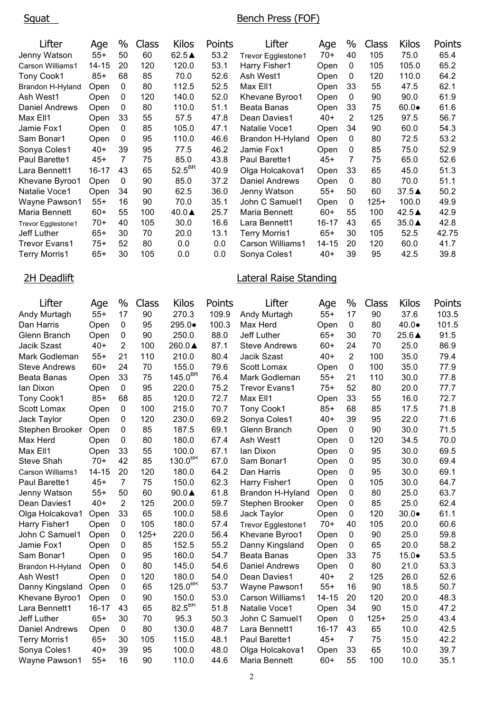#### Squat Bench Press (FOF)

| Lifter               | Age   | %  | <b>Class</b> | Kilos              | Points | Lifter             | Age   | %            | Class  | <b>Kilos</b>    | Points |
|----------------------|-------|----|--------------|--------------------|--------|--------------------|-------|--------------|--------|-----------------|--------|
| Jenny Watson         | $55+$ | 50 | 60           | 62.5▲              | 53.2   | Trevor Egglestone1 | 70+   | 40           | 105    | 75.0            | 65.4   |
| Carson Williams1     | 14-15 | 20 | 120          | 120.0              | 53.1   | Harry Fisher1      | Open  | 0            | 105    | 105.0           | 65.2   |
| <b>Tony Cook1</b>    | $85+$ | 68 | 85           | 70.0               | 52.6   | Ash West1          | Open  | $\Omega$     | 120    | 110.0           | 64.2   |
| Brandon H-Hyland     | Open  | 0  | 80           | 112.5              | 52.5   | Max Ell1           | Open  | 33           | 55     | 47.5            | 62.1   |
| Ash West1            | Open  | 0  | 120          | 140.0              | 52.0   | Khevane Byroo1     | Open  | 0            | 90     | 90.0            | 61.9   |
| Daniel Andrews       | Open  | 0  | 80           | 110.0              | 51.1   | Beata Banas        | Open  | 33           | 75     | $60.0\bullet$   | 61.6   |
| Max Ell1             | Open  | 33 | 55           | 57.5               | 47.8   | Dean Davies1       | 40+   | 2            | 125    | 97.5            | 56.7   |
| Jamie Fox1           | Open  | 0  | 85           | 105.0              | 47.1   | Natalie Voce1      | Open  | 34           | 90     | 60.0            | 54.3   |
| Sam Bonar1           | Open  | 0  | 95           | 110.0              | 46.6   | Brandon H-Hyland   | Open  | 0            | 80     | 72.5            | 53.2   |
| Sonya Coles1         | $40+$ | 39 | 95           | 77.5               | 46.2   | Jamie Fox1         | Open  | 0            | 85     | 75.0            | 52.9   |
| Paul Barette1        | $45+$ | 7  | 75           | 85.0               | 43.8   | Paul Barette1      | $45+$ | 7            | 75     | 65.0            | 52.6   |
| Lara Bennett1        | 16-17 | 43 | 65           | $52.5^{\text{BK}}$ | 40.9   | Olga Holcakova1    | Open  | 33           | 65     | 45.0            | 51.3   |
| Khevane Byroo1       | Open  | 0  | 90           | 85.0               | 37.2   | Daniel Andrews     | Open  | $\mathbf{0}$ | 80     | 70.0            | 51.1   |
| Natalie Voce1        | Open  | 34 | 90           | 62.5               | 36.0   | Jenny Watson       | $55+$ | 50           | 60     | $37.5\triangle$ | 50.2   |
| Wayne Pawson1        | $55+$ | 16 | 90           | 70.0               | 35.1   | John C Samuel1     | Open  | 0            | $125+$ | 100.0           | 49.9   |
| Maria Bennett        | $60+$ | 55 | 100          | $40.0\triangle$    | 25.7   | Maria Bennett      | $60+$ | 55           | 100    | $42.5\triangle$ | 42.9   |
| Trevor Egglestone1   | 70+   | 40 | 105          | 30.0               | 16.6   | Lara Bennett1      | 16-17 | 43           | 65     | $35.0\triangle$ | 42.8   |
| Jeff Luther          | $65+$ | 30 | 70           | 20.0               | 13.1   | Terry Morris1      | $65+$ | 30           | 105    | 52.5            | 42.75  |
| <b>Trevor Evans1</b> | 75+   | 52 | 80           | 0.0                | 0.0    | Carson Williams1   | 14-15 | 20           | 120    | 60.0            | 41.7   |
| <b>Terry Morris1</b> | $65+$ | 30 | 105          | 0.0                | 0.0    | Sonya Coles1       | $40+$ | 39           | 95     | 42.5            | 39.8   |

## 2H Deadlift **Lateral Raise Standing**

| Lifter                | Age       | $\%$           | Class  | <b>Kilos</b>        | Points | Lifter               | Age       | $\%$           | Class  | <b>Kilos</b>   | Points |
|-----------------------|-----------|----------------|--------|---------------------|--------|----------------------|-----------|----------------|--------|----------------|--------|
| Andy Murtagh          | $55+$     | 17             | 90     | 270.3               | 109.9  | Andy Murtagh         | $55+$     | 17             | 90     | 37.6           | 103.5  |
| Dan Harris            | Open      | $\mathbf{0}$   | 95     | 295.0●              | 100.3  | Max Herd             | Open      | 0              | 80     | $40.0 \bullet$ | 101.5  |
| Glenn Branch          | Open      | 0              | 90     | 250.0               | 88.0   | Jeff Luther          | $65+$     | 30             | 70     | 25.6▲          | 91.5   |
| Jacik Szast           | $40+$     | 2              | 100    | 260.0▲              | 87.1   | <b>Steve Andrews</b> | $60+$     | 24             | 70     | 25.0           | 86.9   |
| Mark Godleman         | $55+$     | 21             | 110    | 210.0               | 80.4   | Jacik Szast          | $40+$     | $\overline{2}$ | 100    | 35.0           | 79.4   |
| <b>Steve Andrews</b>  | $60+$     | 24             | 70     | 155.0               | 79.6   | Scott Lomax          | Open      | 0              | 100    | 35.0           | 77.9   |
| Beata Banas           | Open      | 33             | 75     | $145.0^{\text{BK}}$ | 76.4   | Mark Godleman        | $55+$     | 21             | 110    | 30.0           | 77.8   |
| lan Dixon             | Open      | 0              | 95     | 220.0               | 75.2   | <b>Trevor Evans1</b> | $75+$     | 52             | 80     | 20.0           | 77.7   |
| Tony Cook1            | $85+$     | 68             | 85     | 120.0               | 72.7   | Max Ell1             | Open      | 33             | 55     | 16.0           | 72.7   |
| Scott Lomax           | Open      | 0              | 100    | 215.0               | 70.7   | <b>Tony Cook1</b>    | $85+$     | 68             | 85     | 17.5           | 71.8   |
| Jack Taylor           | Open      | 0              | 120    | 230.0               | 69.2   | Sonya Coles1         | $40+$     | 39             | 95     | 22.0           | 71.6   |
| Stephen Brooker       | Open      | 0              | 85     | 187.5               | 69.1   | Glenn Branch         | Open      | 0              | 90     | 30.0           | 71.5   |
| Max Herd              | Open      | 0              | 80     | 180.0               | 67.4   | Ash West1            | Open      | 0              | 120    | 34.5           | 70.0   |
| Max Ell1              | Open      | 33             | 55     | 100.0               | 67.1   | lan Dixon            | Open      | 0              | 95     | 30.0           | 69.5   |
| <b>Steve Shah</b>     | $70+$     | 42             | 85     | $130.0^{BR}$        | 67.0   | Sam Bonar1           | Open      | 0              | 95     | 30.0           | 69.4   |
| Carson Williams1      | $14 - 15$ | 20             | 120    | 180.0               | 64.2   | Dan Harris           | Open      | 0              | 95     | 30.0           | 69.1   |
| Paul Barette1         | $45+$     | $\overline{7}$ | 75     | 150.0               | 62.3   | Harry Fisher1        | Open      | 0              | 105    | 30.0           | 64.7   |
| Jenny Watson          | $55+$     | 50             | 60     | $90.0 \triangle$    | 61.8   | Brandon H-Hyland     | Open      | 0              | 80     | 25.0           | 63.7   |
| Dean Davies1          | $40+$     | $\overline{2}$ | 125    | 200.0               | 59.7   | Stephen Brooker      | Open      | 0              | 85     | 25.0           | 62.4   |
| Olga Holcakova1       | Open      | 33             | 65     | 100.0               | 58.6   | Jack Taylor          | Open      | 0              | 120    | $30.0\bullet$  | 61.1   |
| Harry Fisher1         | Open      | $\pmb{0}$      | 105    | 180.0               | 57.4   | Trevor Egglestone1   | $70+$     | 40             | 105    | 20.0           | 60.6   |
| John C Samuel1        | Open      | 0              | $125+$ | 220.0               | 56.4   | Khevane Byroo1       | Open      | 0              | 90     | 25.0           | 59.8   |
| Jamie Fox1            | Open      | 0              | 85     | 152.5               | 55.2   | Danny Kingsland      | Open      | 0              | 65     | 20.0           | 58.2   |
| Sam Bonar1            | Open      | 0              | 95     | 160.0               | 54.7   | Beata Banas          | Open      | 33             | 75     | $15.0 \bullet$ | 53.5   |
| Brandon H-Hyland      | Open      | 0              | 80     | 145.0               | 54.6   | Daniel Andrews       | Open      | 0              | 80     | 21.0           | 53.3   |
| Ash West1             | Open      | 0              | 120    | 180.0               | 54.0   | Dean Davies1         | $40+$     | $\overline{2}$ | 125    | 26.0           | 52.6   |
| Danny Kingsland       | Open      | 0              | 65     | $125.0^{BR}$        | 53.7   | Wayne Pawson1        | $55+$     | 16             | 90     | 18.5           | 50.7   |
| Khevane Byroo1        | Open      | 0              | 90     | 150.0               | 53.0   | Carson Williams1     | $14 - 15$ | 20             | 120    | 20.0           | 48.3   |
| Lara Bennett1         | 16-17     | 43             | 65     | $82.5^{\text{BK}}$  | 51.8   | Natalie Voce1        | Open      | 34             | 90     | 15.0           | 47.2   |
| Jeff Luther           | $65+$     | 30             | 70     | 95.3                | 50.3   | John C Samuel1       | Open      | 0              | $125+$ | 25.0           | 43.4   |
| <b>Daniel Andrews</b> | Open      | 0              | 80     | 130.0               | 48.7   | Lara Bennett1        | $16 - 17$ | 43             | 65     | 10.0           | 42.5   |
| <b>Terry Morris1</b>  | $65+$     | 30             | 105    | 115.0               | 48.1   | Paul Barette1        | $45+$     | $\overline{7}$ | 75     | 15.0           | 42.2   |
| Sonya Coles1          | $40+$     | 39             | 95     | 100.0               | 48.0   | Olga Holcakova1      | Open      | 33             | 65     | 10.0           | 39.7   |
| Wayne Pawson1         | $55+$     | 16             | 90     | 110.0               | 44.6   | Maria Bennett        | $60+$     | 55             | 100    | 10.0           | 35.1   |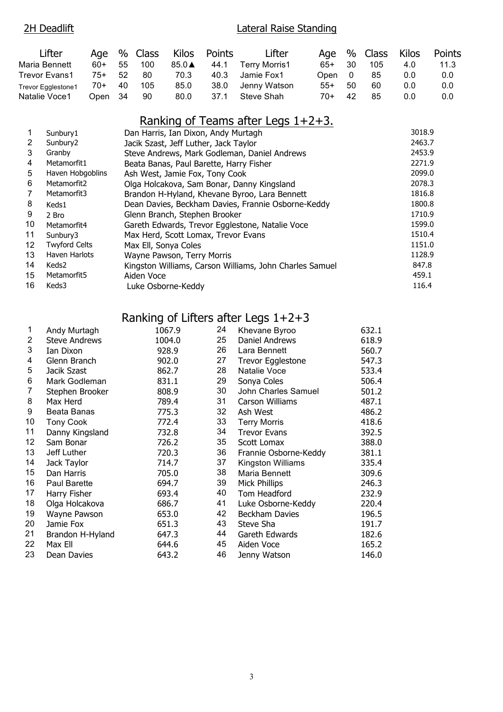#### 2H Deadlift **Lateral Raise Standing** Lifter Age % Class Kilos Points Lifter Age % Class Kilos Points Maria Bennett 60+ 55 100 85.0▲ 44.1 Terry Morris1 65+ 30 105 4.0 11.3 Trevor Evans1 75+ 52 80 70.3 40.3 Jamie Fox1 Open 0 85 0.0 0.0 Trevor Egglestone1 70+ 40 105 85.0 38.0 Jenny Watson 55+ 50 60 0.0 0.0

## Ranking of Teams after Legs 1+2+3.

Natalie Voce1 Open 34 90 80.0 37.1 Steve Shah 70+ 42 85 0.0 0.0

| $\mathbf{1}$    | Sunbury1             | Dan Harris, Ian Dixon, Andy Murtagh                     | 3018.9 |
|-----------------|----------------------|---------------------------------------------------------|--------|
| $\overline{2}$  | Sunbury <sub>2</sub> | Jacik Szast, Jeff Luther, Jack Taylor                   | 2463.7 |
| 3               | Granby               | Steve Andrews, Mark Godleman, Daniel Andrews            | 2453.9 |
| $\overline{4}$  | Metamorfit1          | Beata Banas, Paul Barette, Harry Fisher                 | 2271.9 |
| 5               | Haven Hobgoblins     | Ash West, Jamie Fox, Tony Cook                          | 2099.0 |
| 6               | Metamorfit2          | Olga Holcakova, Sam Bonar, Danny Kingsland              | 2078.3 |
| 7               | Metamorfit3          | Brandon H-Hyland, Khevane Byroo, Lara Bennett           | 1816.8 |
| 8               | Keds1                | Dean Davies, Beckham Davies, Frannie Osborne-Keddy      | 1800.8 |
| 9               | 2 Bro                | Glenn Branch, Stephen Brooker                           | 1710.9 |
| 10              | Metamorfit4          | Gareth Edwards, Trevor Egglestone, Natalie Voce         | 1599.0 |
| 11              | Sunbury3             | Max Herd, Scott Lomax, Trevor Evans                     | 1510.4 |
| 12 <sup>°</sup> | <b>Twyford Celts</b> | Max Ell, Sonya Coles                                    | 1151.0 |
| 13              | Haven Harlots        | Wayne Pawson, Terry Morris                              | 1128.9 |
| 14              | Keds2                | Kingston Williams, Carson Williams, John Charles Samuel | 847.8  |
| 15              | Metamorfit5          | Aiden Voce                                              | 459.1  |
| 16              | Keds3                | Luke Osborne-Keddy                                      | 116.4  |

## Ranking of Lifters after Legs 1+2+3

| 1              | Andy Murtagh         | 1067.9 | 24 | Khevane Byroo         | 632.1 |
|----------------|----------------------|--------|----|-----------------------|-------|
| 2              | <b>Steve Andrews</b> | 1004.0 | 25 | Daniel Andrews        | 618.9 |
| 3              | Ian Dixon            | 928.9  | 26 | Lara Bennett          | 560.7 |
| 4              | Glenn Branch         | 902.0  | 27 | Trevor Egglestone     | 547.3 |
| 5              | Jacik Szast          | 862.7  | 28 | Natalie Voce          | 533.4 |
| 6              | Mark Godleman        | 831.1  | 29 | Sonya Coles           | 506.4 |
| $\overline{7}$ | Stephen Brooker      | 808.9  | 30 | John Charles Samuel   | 501.2 |
| 8              | Max Herd             | 789.4  | 31 | Carson Williams       | 487.1 |
| 9              | Beata Banas          | 775.3  | 32 | Ash West              | 486.2 |
| 10             | <b>Tony Cook</b>     | 772.4  | 33 | <b>Terry Morris</b>   | 418.6 |
| 11             | Danny Kingsland      | 732.8  | 34 | <b>Trevor Evans</b>   | 392.5 |
| 12             | Sam Bonar            | 726.2  | 35 | Scott Lomax           | 388.0 |
| 13             | Jeff Luther          | 720.3  | 36 | Frannie Osborne-Keddy | 381.1 |
| 14             | Jack Taylor          | 714.7  | 37 | Kingston Williams     | 335.4 |
| 15             | Dan Harris           | 705.0  | 38 | Maria Bennett         | 309.6 |
| 16             | Paul Barette         | 694.7  | 39 | Mick Phillips         | 246.3 |
| 17             | Harry Fisher         | 693.4  | 40 | Tom Headford          | 232.9 |
| 18             | Olga Holcakova       | 686.7  | 41 | Luke Osborne-Keddy    | 220.4 |
| 19             | Wayne Pawson         | 653.0  | 42 | Beckham Davies        | 196.5 |
| 20             | Jamie Fox            | 651.3  | 43 | Steve Sha             | 191.7 |
| 21             | Brandon H-Hyland     | 647.3  | 44 | Gareth Edwards        | 182.6 |
| 22             | Max Ell              | 644.6  | 45 | Aiden Voce            | 165.2 |
| 23             | Dean Davies          | 643.2  | 46 | Jenny Watson          | 146.0 |
|                |                      |        |    |                       |       |